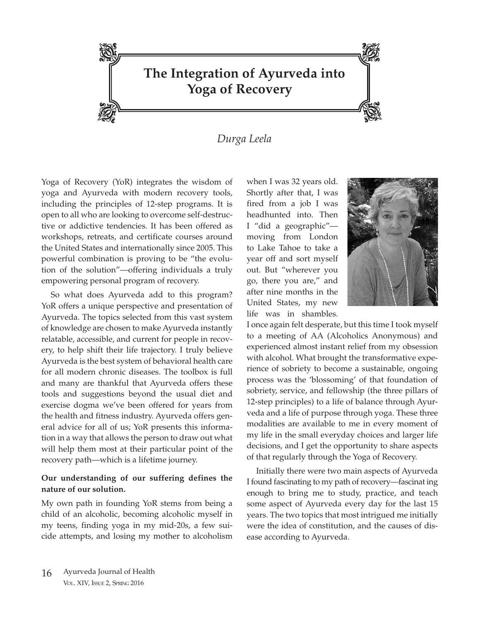

## *Durga Leela*

Yoga of Recovery (YoR) integrates the wisdom of yoga and Ayurveda with modern recovery tools, including the principles of 12-step programs. It is open to all who are looking to overcome self-destructive or addictive tendencies. It has been offered as workshops, retreats, and certificate courses around the United States and internationally since 2005. This powerful combination is proving to be "the evolution of the solution"—offering individuals a truly empowering personal program of recovery.

So what does Ayurveda add to this program? YoR offers a unique perspective and presentation of Ayurveda. The topics selected from this vast system of knowledge are chosen to make Ayurveda instantly relatable, accessible, and current for people in recovery, to help shift their life trajectory. I truly believe Ayurveda is the best system of behavioral health care for all modern chronic diseases. The toolbox is full and many are thankful that Ayurveda offers these tools and suggestions beyond the usual diet and exercise dogma we've been offered for years from the health and fitness industry. Ayurveda offers general advice for all of us; YoR presents this information in a way that allows the person to draw out what will help them most at their particular point of the recovery path—which is a lifetime journey.

## **Our understanding of our suffering defines the nature of our solution.**

My own path in founding YoR stems from being a child of an alcoholic, becoming alcoholic myself in my teens, finding yoga in my mid-20s, a few suicide attempts, and losing my mother to alcoholism when I was 32 years old. Shortly after that, I was fired from a job I was headhunted into. Then I "did a geographic" moving from London to Lake Tahoe to take a year off and sort myself out. But "wherever you go, there you are," and after nine months in the United States, my new life was in shambles.



I once again felt desperate, but this time I took myself to a meeting of AA (Alcoholics Anonymous) and experienced almost instant relief from my obsession with alcohol. What brought the transformative experience of sobriety to become a sustainable, ongoing process was the 'blossoming' of that foundation of sobriety, service, and fellowship (the three pillars of 12-step principles) to a life of balance through Ayurveda and a life of purpose through yoga. These three modalities are available to me in every moment of my life in the small everyday choices and larger life decisions, and I get the opportunity to share aspects of that regularly through the Yoga of Recovery.

Initially there were two main aspects of Ayurveda I found fascinating to my path of recovery—fascinat ing enough to bring me to study, practice, and teach some aspect of Ayurveda every day for the last 15 years. The two topics that most intrigued me initially were the idea of constitution, and the causes of disease according to Ayurveda.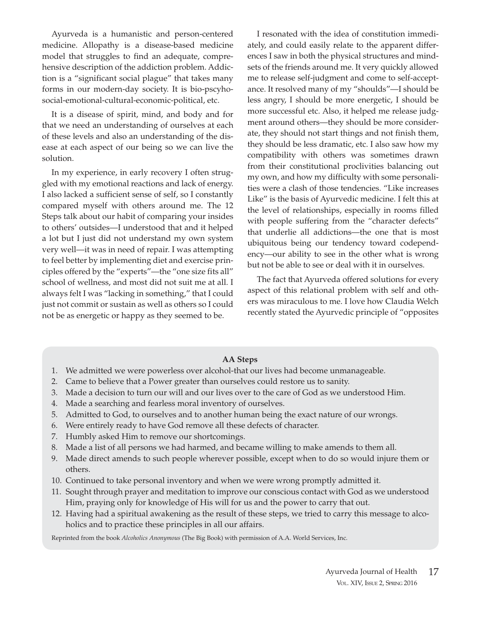Ayurveda is a humanistic and person-centered medicine. Allopathy is a disease-based medicine model that struggles to find an adequate, comprehensive description of the addiction problem. Addiction is a "significant social plague" that takes many forms in our modern-day society. It is bio-pscyhosocial-emotional-cultural-economic-political, etc.

It is a disease of spirit, mind, and body and for that we need an understanding of ourselves at each of these levels and also an understanding of the disease at each aspect of our being so we can live the solution.

In my experience, in early recovery I often struggled with my emotional reactions and lack of energy. I also lacked a sufficient sense of self, so I constantly compared myself with others around me. The 12 Steps talk about our habit of comparing your insides to others' outsides—I understood that and it helped a lot but I just did not understand my own system very well—it was in need of repair. I was attempting to feel better by implementing diet and exercise principles offered by the "experts"—the "one size fits all" school of wellness, and most did not suit me at all. I always felt I was "lacking in something," that I could just not commit or sustain as well as others so I could not be as energetic or happy as they seemed to be.

I resonated with the idea of constitution immediately, and could easily relate to the apparent differences I saw in both the physical structures and mindsets of the friends around me. It very quickly allowed me to release self-judgment and come to self-acceptance. It resolved many of my "shoulds"—I should be less angry, I should be more energetic, I should be more successful etc. Also, it helped me release judgment around others—they should be more considerate, they should not start things and not finish them, they should be less dramatic, etc. I also saw how my compatibility with others was sometimes drawn from their constitutional proclivities balancing out my own, and how my difficulty with some personalities were a clash of those tendencies. "Like increases Like" is the basis of Ayurvedic medicine. I felt this at the level of relationships, especially in rooms filled with people suffering from the "character defects" that underlie all addictions—the one that is most ubiquitous being our tendency toward codependency—our ability to see in the other what is wrong but not be able to see or deal with it in ourselves.

The fact that Ayurveda offered solutions for every aspect of this relational problem with self and others was miraculous to me. I love how Claudia Welch recently stated the Ayurvedic principle of "opposites

## **AA Steps**

- 1. We admitted we were powerless over alcohol-that our lives had become unmanageable.
- 2. Came to believe that a Power greater than ourselves could restore us to sanity.
- 3. Made a decision to turn our will and our lives over to the care of God as we understood Him.
- 4. Made a searching and fearless moral inventory of ourselves.
- 5. Admitted to God, to ourselves and to another human being the exact nature of our wrongs.
- 6. Were entirely ready to have God remove all these defects of character.
- 7. Humbly asked Him to remove our shortcomings.
- 8. Made a list of all persons we had harmed, and became willing to make amends to them all.
- 9. Made direct amends to such people wherever possible, except when to do so would injure them or others.
- 10. Continued to take personal inventory and when we were wrong promptly admitted it.
- 11. Sought through prayer and meditation to improve our conscious contact with God as we understood Him, praying only for knowledge of His will for us and the power to carry that out.
- 12. Having had a spiritual awakening as the result of these steps, we tried to carry this message to alcoholics and to practice these principles in all our affairs.

Reprinted from the book *Alcoholics Anonymous* (The Big Book) with permission of A.A. World Services, Inc.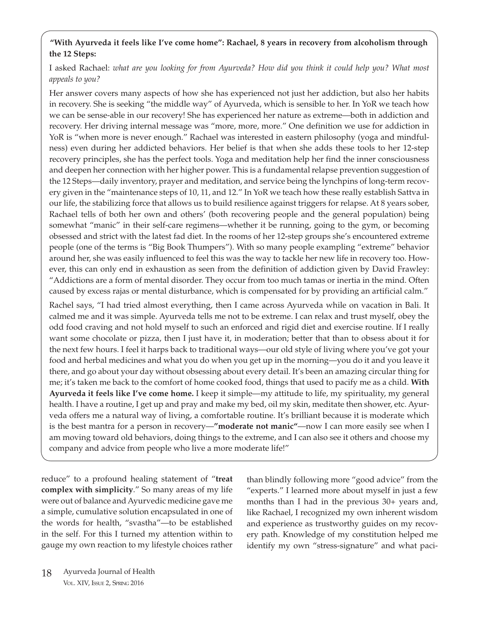## **"With Ayurveda it feels like I've come home": Rachael, 8 years in recovery from alcoholism through the 12 Steps:**

I asked Rachael: *what are you looking for from Ayurveda? How did you think it could help you? What most appeals to you?*

Her answer covers many aspects of how she has experienced not just her addiction, but also her habits in recovery. She is seeking "the middle way" of Ayurveda, which is sensible to her. In YoR we teach how we can be sense-able in our recovery! She has experienced her nature as extreme—both in addiction and recovery. Her driving internal message was "more, more, more." One definition we use for addiction in YoR is "when more is never enough." Rachael was interested in eastern philosophy (yoga and mindfulness) even during her addicted behaviors. Her belief is that when she adds these tools to her 12-step recovery principles, she has the perfect tools. Yoga and meditation help her find the inner consciousness and deepen her connection with her higher power. This is a fundamental relapse prevention suggestion of the 12 Steps—daily inventory, prayer and meditation, and service being the lynchpins of long-term recovery given in the "maintenance steps of 10, 11, and 12." In YoR we teach how these really establish Sattva in our life, the stabilizing force that allows us to build resilience against triggers for relapse. At 8 years sober, Rachael tells of both her own and others' (both recovering people and the general population) being somewhat "manic" in their self-care regimens—whether it be running, going to the gym, or becoming obsessed and strict with the latest fad diet. In the rooms of her 12-step groups she's encountered extreme people (one of the terms is "Big Book Thumpers"). With so many people exampling "extreme" behavior around her, she was easily influenced to feel this was the way to tackle her new life in recovery too. However, this can only end in exhaustion as seen from the definition of addiction given by David Frawley: "Addictions are a form of mental disorder. They occur from too much tamas or inertia in the mind. Often caused by excess rajas or mental disturbance, which is compensated for by providing an artificial calm."

Rachel says, "I had tried almost everything, then I came across Ayurveda while on vacation in Bali. It calmed me and it was simple. Ayurveda tells me not to be extreme. I can relax and trust myself, obey the odd food craving and not hold myself to such an enforced and rigid diet and exercise routine. If I really want some chocolate or pizza, then I just have it, in moderation; better that than to obsess about it for the next few hours. I feel it harps back to traditional ways—our old style of living where you've got your food and herbal medicines and what you do when you get up in the morning—you do it and you leave it there, and go about your day without obsessing about every detail. It's been an amazing circular thing for me; it's taken me back to the comfort of home cooked food, things that used to pacify me as a child. **With Ayurveda it feels like I've come home.** I keep it simple—my attitude to life, my spirituality, my general health. I have a routine, I get up and pray and make my bed, oil my skin, meditate then shower, etc. Ayurveda offers me a natural way of living, a comfortable routine. It's brilliant because it is moderate which is the best mantra for a person in recovery—**"moderate not manic"**—now I can more easily see when I am moving toward old behaviors, doing things to the extreme, and I can also see it others and choose my company and advice from people who live a more moderate life!"

reduce" to a profound healing statement of "**treat complex with simplicity**." So many areas of my life were out of balance and Ayurvedic medicine gave me a simple, cumulative solution encapsulated in one of the words for health, "svastha"—to be established in the self. For this I turned my attention within to gauge my own reaction to my lifestyle choices rather than blindly following more "good advice" from the "experts." I learned more about myself in just a few months than I had in the previous 30+ years and, like Rachael, I recognized my own inherent wisdom and experience as trustworthy guides on my recovery path. Knowledge of my constitution helped me identify my own "stress-signature" and what paci-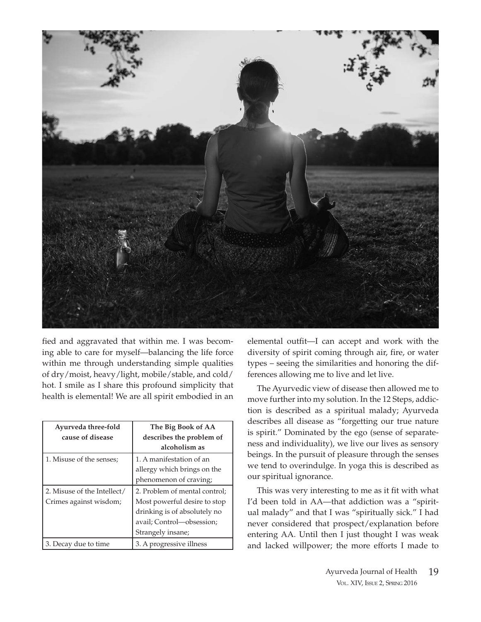

fied and aggravated that within me. I was becoming able to care for myself—balancing the life force within me through understanding simple qualities of dry/moist, heavy/light, mobile/stable, and cold/ hot. I smile as I share this profound simplicity that health is elemental! We are all spirit embodied in an

| Ayurveda three-fold         | The Big Book of AA            |  |
|-----------------------------|-------------------------------|--|
| cause of disease            | describes the problem of      |  |
|                             | alcoholism as                 |  |
| 1. Misuse of the senses:    | 1. A manifestation of an      |  |
|                             | allergy which brings on the   |  |
|                             | phenomenon of craving;        |  |
| 2. Misuse of the Intellect/ | 2. Problem of mental control; |  |
| Crimes against wisdom;      | Most powerful desire to stop  |  |
|                             | drinking is of absolutely no  |  |
|                             | avail; Control-obsession;     |  |
|                             | Strangely insane;             |  |
| 3. Decay due to time        | 3. A progressive illness      |  |

elemental outfit—I can accept and work with the diversity of spirit coming through air, fire, or water types – seeing the similarities and honoring the differences allowing me to live and let live.

The Ayurvedic view of disease then allowed me to move further into my solution. In the 12 Steps, addiction is described as a spiritual malady; Ayurveda describes all disease as "forgetting our true nature is spirit." Dominated by the ego (sense of separateness and individuality), we live our lives as sensory beings. In the pursuit of pleasure through the senses we tend to overindulge. In yoga this is described as our spiritual ignorance.

This was very interesting to me as it fit with what I'd been told in AA—that addiction was a "spiritual malady" and that I was "spiritually sick." I had never considered that prospect/explanation before entering AA. Until then I just thought I was weak and lacked willpower; the more efforts I made to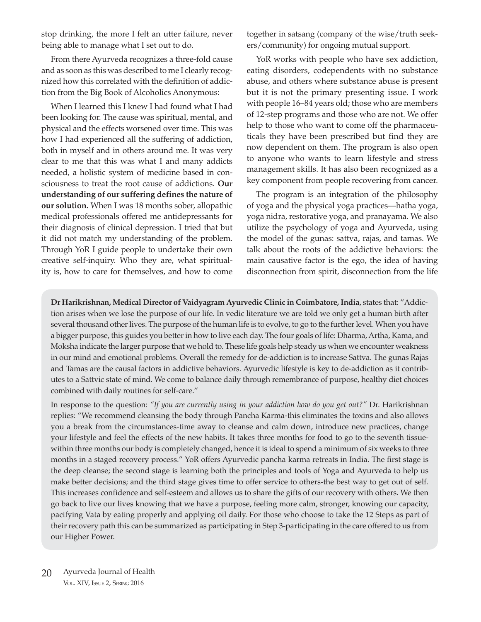stop drinking, the more I felt an utter failure, never being able to manage what I set out to do.

From there Ayurveda recognizes a three-fold cause and as soon as this was described to me I clearly recognized how this correlated with the definition of addiction from the Big Book of Alcoholics Anonymous:

When I learned this I knew I had found what I had been looking for. The cause was spiritual, mental, and physical and the effects worsened over time. This was how I had experienced all the suffering of addiction, both in myself and in others around me. It was very clear to me that this was what I and many addicts needed, a holistic system of medicine based in consciousness to treat the root cause of addictions. **Our understanding of our suffering defines the nature of our solution.** When I was 18 months sober, allopathic medical professionals offered me antidepressants for their diagnosis of clinical depression. I tried that but it did not match my understanding of the problem. Through YoR I guide people to undertake their own creative self-inquiry. Who they are, what spirituality is, how to care for themselves, and how to come

together in satsang (company of the wise/truth seekers/community) for ongoing mutual support.

YoR works with people who have sex addiction, eating disorders, codependents with no substance abuse, and others where substance abuse is present but it is not the primary presenting issue. I work with people 16–84 years old; those who are members of 12-step programs and those who are not. We offer help to those who want to come off the pharmaceuticals they have been prescribed but find they are now dependent on them. The program is also open to anyone who wants to learn lifestyle and stress management skills. It has also been recognized as a key component from people recovering from cancer.

The program is an integration of the philosophy of yoga and the physical yoga practices—hatha yoga, yoga nidra, restorative yoga, and pranayama. We also utilize the psychology of yoga and Ayurveda, using the model of the gunas: sattva, rajas, and tamas. We talk about the roots of the addictive behaviors: the main causative factor is the ego, the idea of having disconnection from spirit, disconnection from the life

**Dr Harikrishnan, Medical Director of Vaidyagram Ayurvedic Clinic in Coimbatore, India**, states that: "Addiction arises when we lose the purpose of our life. In vedic literature we are told we only get a human birth after several thousand other lives. The purpose of the human life is to evolve, to go to the further level. When you have a bigger purpose, this guides you better in how to live each day. The four goals of life: Dharma, Artha, Kama, and Moksha indicate the larger purpose that we hold to. These life goals help steady us when we encounter weakness in our mind and emotional problems. Overall the remedy for de-addiction is to increase Sattva. The gunas Rajas and Tamas are the causal factors in addictive behaviors. Ayurvedic lifestyle is key to de-addiction as it contributes to a Sattvic state of mind. We come to balance daily through remembrance of purpose, healthy diet choices combined with daily routines for self-care."

In response to the question: *"If you are currently using in your addiction how do you get out?"* Dr. Harikrishnan replies: "We recommend cleansing the body through Pancha Karma-this eliminates the toxins and also allows you a break from the circumstances-time away to cleanse and calm down, introduce new practices, change your lifestyle and feel the effects of the new habits. It takes three months for food to go to the seventh tissuewithin three months our body is completely changed, hence it is ideal to spend a minimum of six weeks to three months in a staged recovery process." YoR offers Ayurvedic pancha karma retreats in India. The first stage is the deep cleanse; the second stage is learning both the principles and tools of Yoga and Ayurveda to help us make better decisions; and the third stage gives time to offer service to others-the best way to get out of self. This increases confidence and self-esteem and allows us to share the gifts of our recovery with others. We then go back to live our lives knowing that we have a purpose, feeling more calm, stronger, knowing our capacity, pacifying Vata by eating properly and applying oil daily. For those who choose to take the 12 Steps as part of their recovery path this can be summarized as participating in Step 3-participating in the care offered to us from our Higher Power.